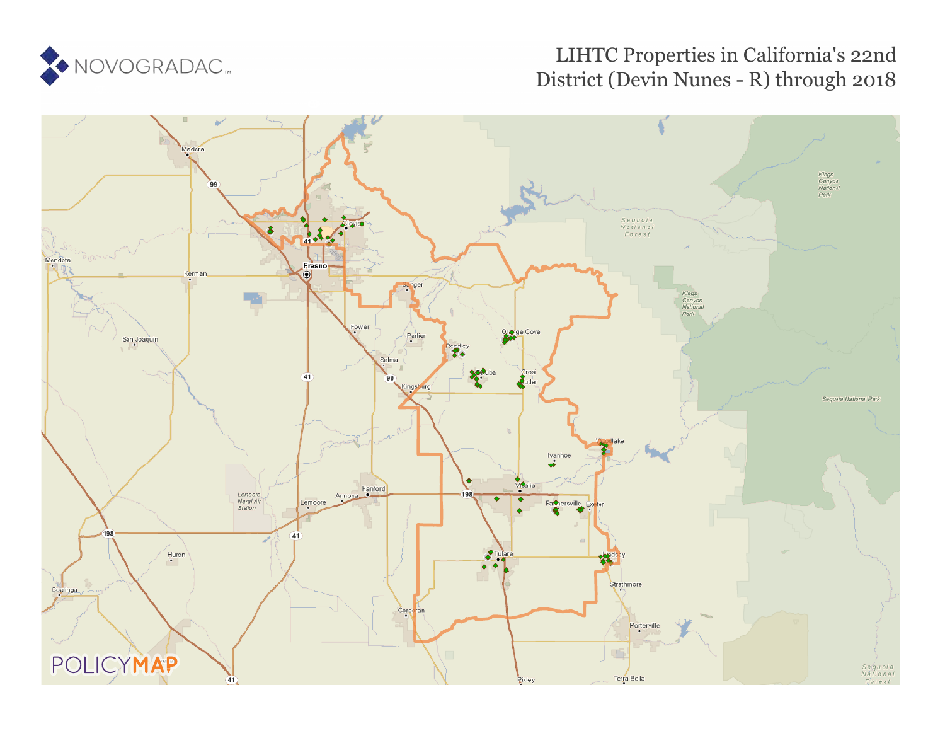

## LIHTC Properties in California's 22nd District (Devin Nunes - R) through 2018

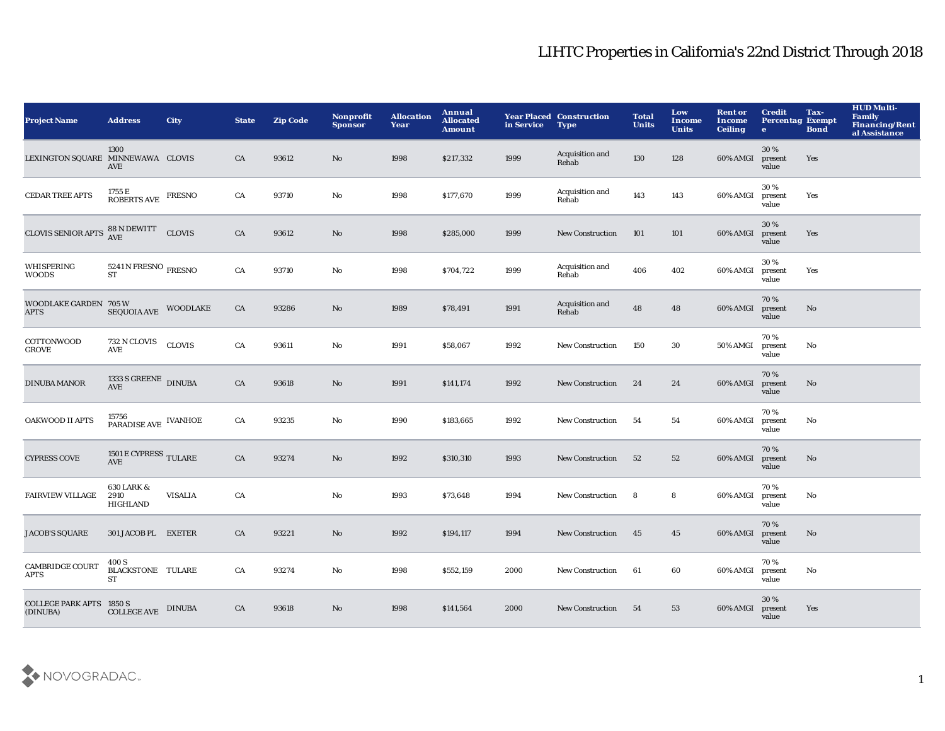| <b>Project Name</b>                         | <b>Address</b>                                                        | <b>City</b>    | <b>State</b> | <b>Zip Code</b> | Nonprofit<br><b>Sponsor</b> | <b>Allocation</b><br>Year | Annual<br><b>Allocated</b><br>Amount | in Service | <b>Year Placed Construction</b><br><b>Type</b> | <b>Total</b><br><b>Units</b> | Low<br><b>Income</b><br><b>Units</b> | <b>Rent or</b><br>Income<br><b>Ceiling</b> | <b>Credit</b><br><b>Percentag Exempt</b><br>$\bullet$ | Tax-<br><b>Bond</b> | <b>HUD Multi-</b><br><b>Family</b><br><b>Financing/Rent</b><br>al Assistance |
|---------------------------------------------|-----------------------------------------------------------------------|----------------|--------------|-----------------|-----------------------------|---------------------------|--------------------------------------|------------|------------------------------------------------|------------------------------|--------------------------------------|--------------------------------------------|-------------------------------------------------------|---------------------|------------------------------------------------------------------------------|
| LEXINGTON SQUARE MINNEWAWA CLOVIS           | 1300<br>AVE                                                           |                | CA           | 93612           | No                          | 1998                      | \$217,332                            | 1999       | Acquisition and<br>Rehab                       | 130                          | 128                                  | 60% AMGI                                   | 30%<br>present<br>value                               | Yes                 |                                                                              |
| <b>CEDAR TREE APTS</b>                      | $1755\,\mathrm{E}$ ROBERTS AVE FRESNO                                 |                | CA           | 93710           | $\mathbf{No}$               | 1998                      | \$177,670                            | 1999       | Acquisition and<br>Rehab                       | 143                          | 143                                  | 60% AMGI                                   | 30%<br>present<br>value                               | Yes                 |                                                                              |
| <b>CLOVIS SENIOR APTS</b>                   | 88 N DEWITT CLOVIS                                                    |                | CA           | 93612           | No                          | 1998                      | \$285,000                            | 1999       | <b>New Construction</b>                        | 101                          | 101                                  | 60% AMGI                                   | 30%<br>present<br>value                               | Yes                 |                                                                              |
| WHISPERING<br><b>WOODS</b>                  | $5241\,\mathrm{N}\,\mathrm{FRESNO}$ $_{\mathrm{FRESNO}}$<br><b>ST</b> |                | CA           | 93710           | No                          | 1998                      | \$704,722                            | 1999       | Acquisition and<br>Rehab                       | 406                          | 402                                  | 60% AMGI                                   | 30%<br>present<br>value                               | Yes                 |                                                                              |
| WOODLAKE GARDEN 705 W<br><b>APTS</b>        | SEQUOIA AVE WOODLAKE                                                  |                | CA           | 93286           | No                          | 1989                      | \$78,491                             | 1991       | Acquisition and<br>Rehab                       | 48                           | 48                                   | 60% AMGI                                   | 70%<br>present<br>value                               | No                  |                                                                              |
| COTTONWOOD<br><b>GROVE</b>                  | $732$ N CLOVIS<br>AVE                                                 | <b>CLOVIS</b>  | CA           | 93611           | No                          | 1991                      | \$58,067                             | 1992       | <b>New Construction</b>                        | 150                          | 30                                   | 50% AMGI                                   | 70%<br>present<br>value                               | No                  |                                                                              |
| <b>DINUBA MANOR</b>                         | 1333 S GREENE DINUBA<br><b>AVE</b>                                    |                | CA           | 93618           | No                          | 1991                      | \$141,174                            | 1992       | <b>New Construction</b>                        | 24                           | 24                                   | 60% AMGI                                   | 70%<br>present<br>value                               | No                  |                                                                              |
| <b>OAKWOOD II APTS</b>                      | 15756<br>PARADISE AVE IVANHOE                                         |                | CA           | 93235           | No                          | 1990                      | \$183,665                            | 1992       | <b>New Construction</b>                        | 54                           | 54                                   | 60% AMGI                                   | 70%<br>present<br>value                               | No                  |                                                                              |
| <b>CYPRESS COVE</b>                         | $1501\,\mathrm{E}\,\mathrm{CYPRESS}\,$ TULARE<br><b>AVE</b>           |                | CA           | 93274           | No                          | 1992                      | \$310,310                            | 1993       | <b>New Construction</b>                        | 52                           | 52                                   | 60% AMGI                                   | 70%<br>present<br>value                               | No                  |                                                                              |
| <b>FAIRVIEW VILLAGE</b>                     | 630 LARK &<br>2910<br>HIGHLAND                                        | <b>VISALIA</b> | CA           |                 | No                          | 1993                      | \$73,648                             | 1994       | <b>New Construction</b>                        | 8                            | 8                                    | 60% AMGI                                   | 70%<br>present<br>value                               | No                  |                                                                              |
| <b>JACOB'S SQUARE</b>                       | 301 JACOB PL EXETER                                                   |                | CA           | 93221           | No                          | 1992                      | \$194,117                            | 1994       | <b>New Construction</b>                        | 45                           | 45                                   | 60% AMGI                                   | 70%<br>present<br>value                               | No                  |                                                                              |
| CAMBRIDGE COURT<br><b>APTS</b>              | 400 S<br><b>BLACKSTONE TULARE</b><br>ST                               |                | CA           | 93274           | No                          | 1998                      | \$552,159                            | 2000       | <b>New Construction</b>                        | 61                           | 60                                   | 60% AMGI                                   | 70%<br>present<br>value                               | No                  |                                                                              |
| <b>COLLEGE PARK APTS 1850 S</b><br>(DINUBA) | $\operatorname{COLLEGE}$ AVE                                          | <b>DINUBA</b>  | CA           | 93618           | No                          | 1998                      | \$141,564                            | 2000       | <b>New Construction</b>                        | 54                           | 53                                   | 60% AMGI                                   | 30 %<br>present<br>value                              | Yes                 |                                                                              |

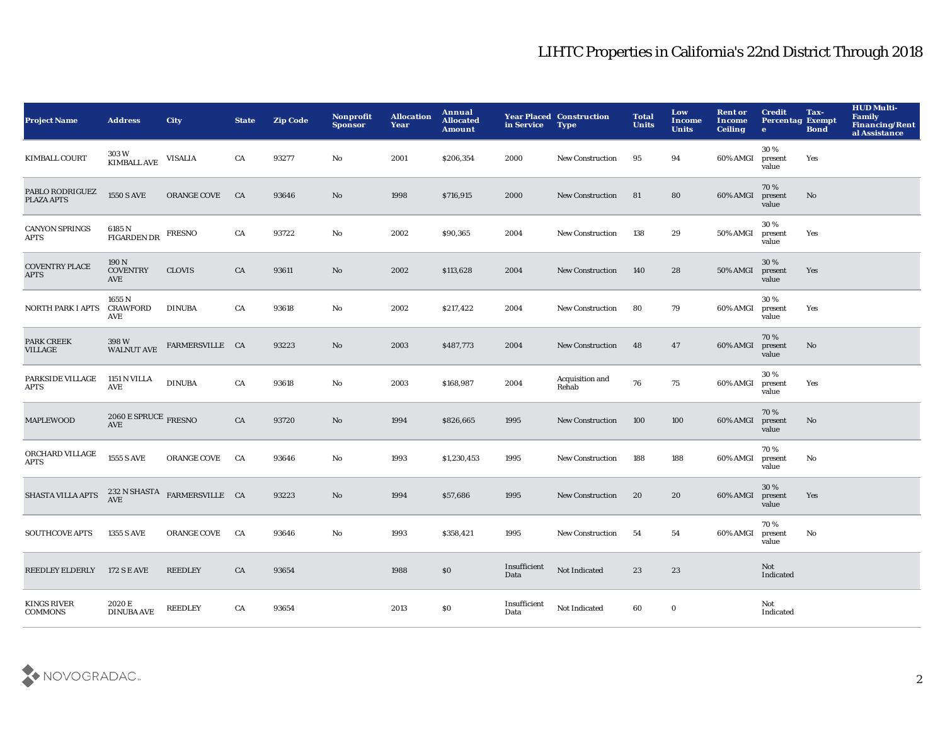| <b>Project Name</b>                  | <b>Address</b>                                 | <b>City</b>                  | <b>State</b> | <b>Zip Code</b> | Nonprofit<br><b>Sponsor</b> | <b>Allocation</b><br>Year | Annual<br><b>Allocated</b><br><b>Amount</b> | in Service           | <b>Year Placed Construction</b><br><b>Type</b> | <b>Total</b><br><b>Units</b> | Low<br><b>Income</b><br><b>Units</b> | <b>Rent or</b><br><b>Income</b><br><b>Ceiling</b> | <b>Credit</b><br><b>Percentag Exempt</b><br>$\bullet$ | Tax-<br><b>Bond</b> | <b>HUD Multi-</b><br>Family<br>Financing/Rent<br>al Assistance |
|--------------------------------------|------------------------------------------------|------------------------------|--------------|-----------------|-----------------------------|---------------------------|---------------------------------------------|----------------------|------------------------------------------------|------------------------------|--------------------------------------|---------------------------------------------------|-------------------------------------------------------|---------------------|----------------------------------------------------------------|
| <b>KIMBALL COURT</b>                 | 303 W<br><b>KIMBALL AVE</b>                    | <b>VISALIA</b>               | CA           | 93277           | No                          | 2001                      | \$206,354                                   | 2000                 | <b>New Construction</b>                        | 95                           | 94                                   | 60% AMGI                                          | 30%<br>present<br>value                               | Yes                 |                                                                |
| PABLO RODRIGUEZ<br>PLAZA APTS        | <b>1550 S AVE</b>                              | <b>ORANGE COVE</b>           | CA           | 93646           | No                          | 1998                      | \$716,915                                   | 2000                 | <b>New Construction</b>                        | 81                           | 80                                   | 60% AMGI                                          | 70%<br>present<br>value                               | No                  |                                                                |
| <b>CANYON SPRINGS</b><br><b>APTS</b> | 6185 N<br><b>FIGARDEN DR</b>                   | <b>FRESNO</b>                | CA           | 93722           | No                          | 2002                      | \$90,365                                    | 2004                 | <b>New Construction</b>                        | 138                          | 29                                   | 50% AMGI                                          | 30%<br>present<br>value                               | Yes                 |                                                                |
| <b>COVENTRY PLACE</b><br><b>APTS</b> | 190 N<br><b>COVENTRY</b><br>AVE                | <b>CLOVIS</b>                | CA           | 93611           | No                          | 2002                      | \$113,628                                   | 2004                 | <b>New Construction</b>                        | 140                          | 28                                   | 50% AMGI                                          | 30%<br>present<br>value                               | Yes                 |                                                                |
| <b>NORTH PARK I APTS</b>             | 1655 N<br><b>CRAWFORD</b><br>AVE               | <b>DINUBA</b>                | CA           | 93618           | No                          | 2002                      | \$217,422                                   | 2004                 | <b>New Construction</b>                        | 80                           | 79                                   | 60% AMGI                                          | 30%<br>present<br>value                               | Yes                 |                                                                |
| <b>PARK CREEK</b><br><b>VILLAGE</b>  | 398 W<br>WALNUT AVE                            | FARMERSVILLE CA              |              | 93223           | No                          | 2003                      | \$487,773                                   | 2004                 | <b>New Construction</b>                        | 48                           | 47                                   | 60% AMGI                                          | 70%<br>present<br>value                               | No                  |                                                                |
| PARKSIDE VILLAGE<br><b>APTS</b>      | 1151 N VILLA<br>AVE                            | <b>DINUBA</b>                | CA           | 93618           | No                          | 2003                      | \$168,987                                   | 2004                 | Acquisition and<br>Rehab                       | 76                           | 75                                   | 60% AMGI                                          | 30%<br>present<br>value                               | Yes                 |                                                                |
| <b>MAPLEWOOD</b>                     | $2060\,\mathrm{E}\,\mathrm{SPRUCE}$ FRESNO AVE |                              | CA           | 93720           | No                          | 1994                      | \$826,665                                   | 1995                 | <b>New Construction</b>                        | 100                          | 100                                  | 60% AMGI                                          | 70%<br>present<br>value                               | No                  |                                                                |
| ORCHARD VILLAGE<br><b>APTS</b>       | <b>1555 S AVE</b>                              | <b>ORANGE COVE</b>           | CA           | 93646           | No                          | 1993                      | \$1,230,453                                 | 1995                 | <b>New Construction</b>                        | 188                          | 188                                  | 60% AMGI                                          | 70%<br>present<br>value                               | No                  |                                                                |
| <b>SHASTA VILLA APTS</b>             | <b>AVE</b>                                     | 232 N SHASTA FARMERSVILLE CA |              | 93223           | No                          | 1994                      | \$57,686                                    | 1995                 | <b>New Construction</b>                        | 20                           | 20                                   | 60% AMGI                                          | 30%<br>present<br>value                               | Yes                 |                                                                |
| <b>SOUTHCOVE APTS</b>                | <b>1355 S AVE</b>                              | <b>ORANGE COVE</b>           | CA           | 93646           | No                          | 1993                      | \$358,421                                   | 1995                 | <b>New Construction</b>                        | 54                           | 54                                   | 60% AMGI                                          | 70%<br>present<br>value                               | No                  |                                                                |
| <b>REEDLEY ELDERLY</b>               | <b>172 S E AVE</b>                             | <b>REEDLEY</b>               | CA           | 93654           |                             | 1988                      | \$0                                         | Insufficient<br>Data | Not Indicated                                  | 23                           | 23                                   |                                                   | Not<br>Indicated                                      |                     |                                                                |
| <b>KINGS RIVER</b><br><b>COMMONS</b> | 2020 E<br><b>DINUBA AVE</b>                    | <b>REEDLEY</b>               | CA           | 93654           |                             | 2013                      | \$0                                         | Insufficient<br>Data | Not Indicated                                  | 60                           | $\bf{0}$                             |                                                   | Not<br>Indicated                                      |                     |                                                                |

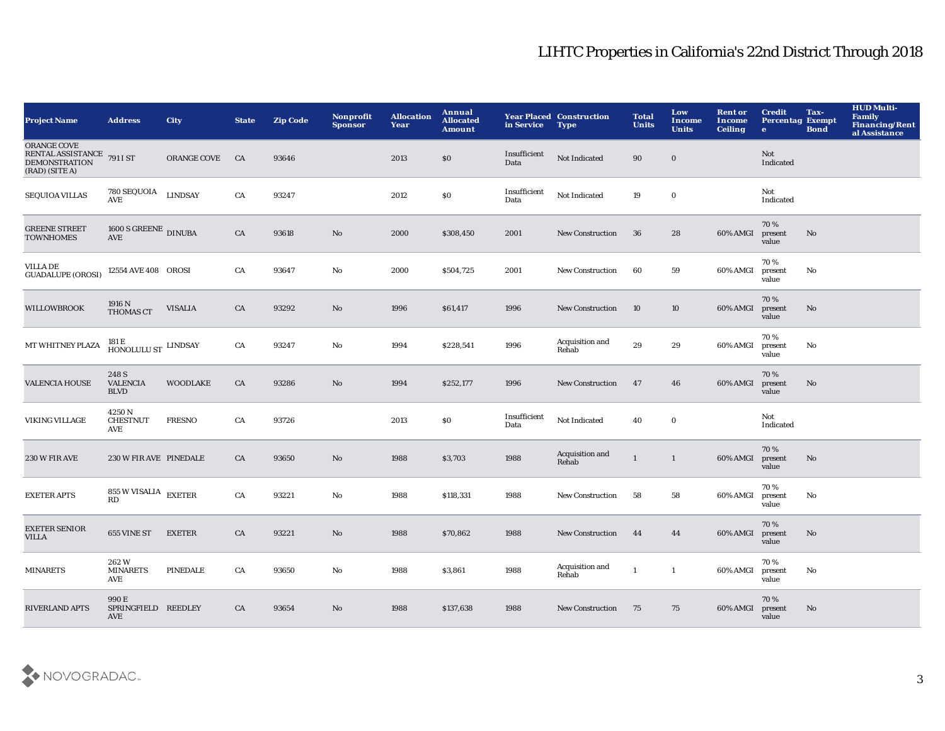| <b>Project Name</b>                                                                 | <b>Address</b>                                         | <b>City</b>     | <b>State</b> | <b>Zip Code</b> | Nonprofit<br><b>Sponsor</b> | <b>Allocation</b><br>Year | Annual<br><b>Allocated</b><br><b>Amount</b> | in Service           | <b>Year Placed Construction</b><br><b>Type</b> | <b>Total</b><br><b>Units</b> | Low<br>Income<br><b>Units</b> | <b>Rent or</b><br>Income<br><b>Ceiling</b> | <b>Credit</b><br><b>Percentag Exempt</b><br>$\bullet$ | Tax-<br><b>Bond</b> | <b>HUD Multi-</b><br>Family<br><b>Financing/Rent</b><br>al Assistance |
|-------------------------------------------------------------------------------------|--------------------------------------------------------|-----------------|--------------|-----------------|-----------------------------|---------------------------|---------------------------------------------|----------------------|------------------------------------------------|------------------------------|-------------------------------|--------------------------------------------|-------------------------------------------------------|---------------------|-----------------------------------------------------------------------|
| ORANGE COVE<br>RENTAL ASSISTANCE 791 I ST<br><b>DEMONSTRATION</b><br>(RAD) (SITE A) |                                                        | ORANGE COVE     | CA           | 93646           |                             | 2013                      | $\$0$                                       | Insufficient<br>Data | Not Indicated                                  | 90                           | $\bf{0}$                      |                                            | Not<br>Indicated                                      |                     |                                                                       |
| <b>SEQUIOA VILLAS</b>                                                               | 780 SEQUOIA<br>AVE                                     | <b>LINDSAY</b>  | CA           | 93247           |                             | 2012                      | $\$0$                                       | Insufficient<br>Data | Not Indicated                                  | 19                           | $\mathbf 0$                   |                                            | Not<br>Indicated                                      |                     |                                                                       |
| <b>GREENE STREET</b><br><b>TOWNHOMES</b>                                            | 1600 S GREENE DINUBA<br>AVE                            |                 | CA           | 93618           | No                          | 2000                      | \$308,450                                   | 2001                 | <b>New Construction</b>                        | 36                           | 28                            | 60% AMGI                                   | 70%<br>present<br>value                               | $\mathbf{No}$       |                                                                       |
| <b>VILLA DE</b><br><b>GUADALUPE (OROSI)</b>                                         | 12554 AVE 408 OROSI                                    |                 | CA           | 93647           | No                          | 2000                      | \$504,725                                   | 2001                 | New Construction                               | 60                           | 59                            | 60% AMGI                                   | 70%<br>present<br>value                               | No                  |                                                                       |
| <b>WILLOWBROOK</b>                                                                  | 1916 N<br>THOMAS CT                                    | <b>VISALIA</b>  | CA           | 93292           | $\mathbf{N}\mathbf{o}$      | 1996                      | \$61,417                                    | 1996                 | <b>New Construction</b>                        | 10                           | 10                            | 60% AMGI                                   | 70%<br>present<br>value                               | No                  |                                                                       |
| MT WHITNEY PLAZA                                                                    | $^{181\,\mathrm{E}}_{\,\mathrm{HONOLULU\,ST}}$ LINDSAY |                 | CA           | 93247           | $\rm No$                    | 1994                      | \$228,541                                   | 1996                 | Acquisition and<br>Rehab                       | 29                           | 29                            | 60% AMGI                                   | 70 %<br>present<br>value                              | $\mathbf {No}$      |                                                                       |
| <b>VALENCIA HOUSE</b>                                                               | 248 S<br><b>VALENCIA</b><br><b>BLVD</b>                | <b>WOODLAKE</b> | ${\rm CA}$   | 93286           | No                          | 1994                      | \$252,177                                   | 1996                 | New Construction                               | 47                           | 46                            | 60% AMGI                                   | 70%<br>present<br>value                               | $\mathbf{No}$       |                                                                       |
| VIKING VILLAGE                                                                      | 4250N<br><b>CHESTNUT</b><br>AVE                        | <b>FRESNO</b>   | CA           | 93726           |                             | 2013                      | \$0                                         | Insufficient<br>Data | Not Indicated                                  | 40                           | $\bf{0}$                      |                                            | Not<br>Indicated                                      |                     |                                                                       |
| 230 W FIR AVE                                                                       | 230 W FIR AVE PINEDALE                                 |                 | CA           | 93650           | No                          | 1988                      | \$3,703                                     | 1988                 | Acquisition and<br>Rehab                       | $\mathbf{1}$                 | $\mathbf{1}$                  | 60% AMGI                                   | 70%<br>present<br>value                               | $\mathbf{No}$       |                                                                       |
| <b>EXETER APTS</b>                                                                  | 855 W VISALIA $\,$ EXETER<br>RD                        |                 | ${\rm CA}$   | 93221           | $\mathbf{N}\mathbf{o}$      | 1988                      | \$118,331                                   | 1988                 | <b>New Construction</b>                        | 58                           | 58                            | 60% AMGI                                   | 70%<br>present<br>value                               | No                  |                                                                       |
| <b>EXETER SENIOR</b><br><b>VILLA</b>                                                | 655 VINE ST                                            | <b>EXETER</b>   | CA           | 93221           | No                          | 1988                      | \$70,862                                    | 1988                 | <b>New Construction</b>                        | 44                           | 44                            | 60% AMGI                                   | 70%<br>present<br>value                               | No                  |                                                                       |
| <b>MINARETS</b>                                                                     | 262W<br><b>MINARETS</b><br>AVE                         | <b>PINEDALE</b> | CA           | 93650           | No                          | 1988                      | \$3,861                                     | 1988                 | Acquisition and<br>Rehab                       | $\mathbf{1}$                 | $\mathbf{1}$                  | 60% AMGI                                   | 70%<br>present<br>value                               | No                  |                                                                       |
| <b>RIVERLAND APTS</b>                                                               | 990E<br>SPRINGFIELD REEDLEY<br><b>AVE</b>              |                 | CA           | 93654           | No                          | 1988                      | \$137,638                                   | 1988                 | <b>New Construction</b>                        | 75                           | 75                            | 60% AMGI                                   | 70%<br>present<br>value                               | No                  |                                                                       |

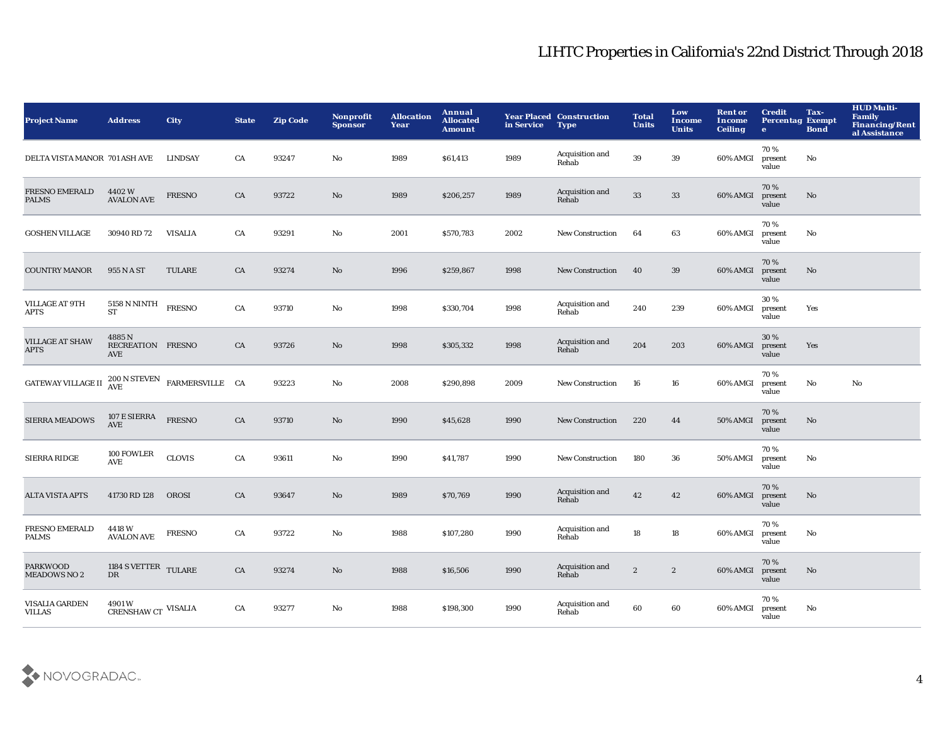| <b>Project Name</b>                    | <b>Address</b>                              | <b>City</b>                  | <b>State</b> | <b>Zip Code</b> | Nonprofit<br><b>Sponsor</b> | <b>Allocation</b><br>Year | Annual<br><b>Allocated</b><br><b>Amount</b> | in Service | <b>Year Placed Construction</b><br><b>Type</b> | <b>Total</b><br><b>Units</b> | Low<br><b>Income</b><br><b>Units</b> | <b>Rent or</b><br><b>Income</b><br><b>Ceiling</b> | <b>Credit</b><br><b>Percentag Exempt</b><br>$\bullet$ | Tax-<br><b>Bond</b>    | <b>HUD Multi-</b><br>Family<br><b>Financing/Rent</b><br>al Assistance |
|----------------------------------------|---------------------------------------------|------------------------------|--------------|-----------------|-----------------------------|---------------------------|---------------------------------------------|------------|------------------------------------------------|------------------------------|--------------------------------------|---------------------------------------------------|-------------------------------------------------------|------------------------|-----------------------------------------------------------------------|
| DELTA VISTA MANOR 701 ASH AVE          |                                             | <b>LINDSAY</b>               | CA           | 93247           | No                          | 1989                      | \$61,413                                    | 1989       | Acquisition and<br>Rehab                       | 39                           | 39                                   | 60% AMGI                                          | 70%<br>present<br>value                               | No                     |                                                                       |
| <b>FRESNO EMERALD</b><br>PALMS         | 4402W<br><b>AVALON AVE</b>                  | <b>FRESNO</b>                | CA           | 93722           | No                          | 1989                      | \$206,257                                   | 1989       | Acquisition and<br>Rehab                       | 33                           | 33                                   | 60% AMGI                                          | 70%<br>present<br>value                               | No                     |                                                                       |
| <b>GOSHEN VILLAGE</b>                  | 30940 RD 72                                 | <b>VISALIA</b>               | ${\rm CA}$   | 93291           | No                          | 2001                      | \$570,783                                   | 2002       | <b>New Construction</b>                        | 64                           | 63                                   | 60% AMGI                                          | 70%<br>present<br>value                               | No                     |                                                                       |
| <b>COUNTRY MANOR</b>                   | 955 N A ST                                  | <b>TULARE</b>                | CA           | 93274           | No                          | 1996                      | \$259,867                                   | 1998       | <b>New Construction</b>                        | 40                           | 39                                   | 60% AMGI                                          | 70%<br>present<br>value                               | No                     |                                                                       |
| <b>VILLAGE AT 9TH</b><br>APTS          | <b>5158 N NINTH</b><br>ST                   | <b>FRESNO</b>                | CA           | 93710           | No                          | 1998                      | \$330,704                                   | 1998       | Acquisition and<br>Rehab                       | 240                          | 239                                  | 60% AMGI                                          | 30%<br>present<br>value                               | Yes                    |                                                                       |
| <b>VILLAGE AT SHAW</b><br><b>APTS</b>  | 4885 N<br>RECREATION FRESNO<br>AVE          |                              | CA           | 93726           | No                          | 1998                      | \$305,332                                   | 1998       | Acquisition and<br>Rehab                       | 204                          | 203                                  | 60% AMGI                                          | 30%<br>present<br>value                               | Yes                    |                                                                       |
| <b>GATEWAY VILLAGE II</b>              | <b>AVE</b>                                  | 200 N STEVEN FARMERSVILLE CA |              | 93223           | No                          | 2008                      | \$290,898                                   | 2009       | <b>New Construction</b>                        | 16                           | 16                                   | 60% AMGI                                          | 70%<br>present<br>value                               | No                     | No                                                                    |
| <b>SIERRA MEADOWS</b>                  | 107 E SIERRA<br>$\operatorname{AVE}$        | <b>FRESNO</b>                | CA           | 93710           | No                          | 1990                      | \$45,628                                    | 1990       | <b>New Construction</b>                        | 220                          | 44                                   | <b>50% AMGI</b>                                   | 70%<br>present<br>value                               | No                     |                                                                       |
| SIERRA RIDGE                           | 100 FOWLER<br>AVE                           | <b>CLOVIS</b>                | CA           | 93611           | No                          | 1990                      | \$41,787                                    | 1990       | New Construction                               | 180                          | 36                                   | 50% AMGI                                          | 70%<br>present<br>value                               | No                     |                                                                       |
| <b>ALTA VISTA APTS</b>                 | 41730 RD 128                                | OROSI                        | CA           | 93647           | No                          | 1989                      | \$70,769                                    | 1990       | Acquisition and<br>Rehab                       | 42                           | $42\,$                               | 60% AMGI                                          | 70%<br>present<br>value                               | $\mathbf{N}\mathbf{o}$ |                                                                       |
| FRESNO EMERALD<br><b>PALMS</b>         | 4418 W<br><b>AVALON AVE</b>                 | <b>FRESNO</b>                | CA           | 93722           | No                          | 1988                      | \$107,280                                   | 1990       | Acquisition and<br>Rehab                       | 18                           | 18                                   | 60% AMGI                                          | 70%<br>present<br>value                               | No                     |                                                                       |
| <b>PARKWOOD</b><br><b>MEADOWS NO 2</b> | 1184 S VETTER $\:$ TULARE<br><b>DR</b>      |                              | CA           | 93274           | No                          | 1988                      | \$16,506                                    | 1990       | Acquisition and<br>Rehab                       | $\boldsymbol{2}$             | $\boldsymbol{2}$                     | 60% AMGI                                          | 70%<br>present<br>value                               | No                     |                                                                       |
| <b>VISALIA GARDEN</b><br><b>VILLAS</b> | $4901\,\mathrm{W}$ CRENSHAW CT $\,$ VISALIA |                              | CA           | 93277           | No                          | 1988                      | \$198,300                                   | 1990       | Acquisition and<br>Rehab                       | 60                           | 60                                   | 60% AMGI                                          | 70%<br>present<br>value                               | No                     |                                                                       |

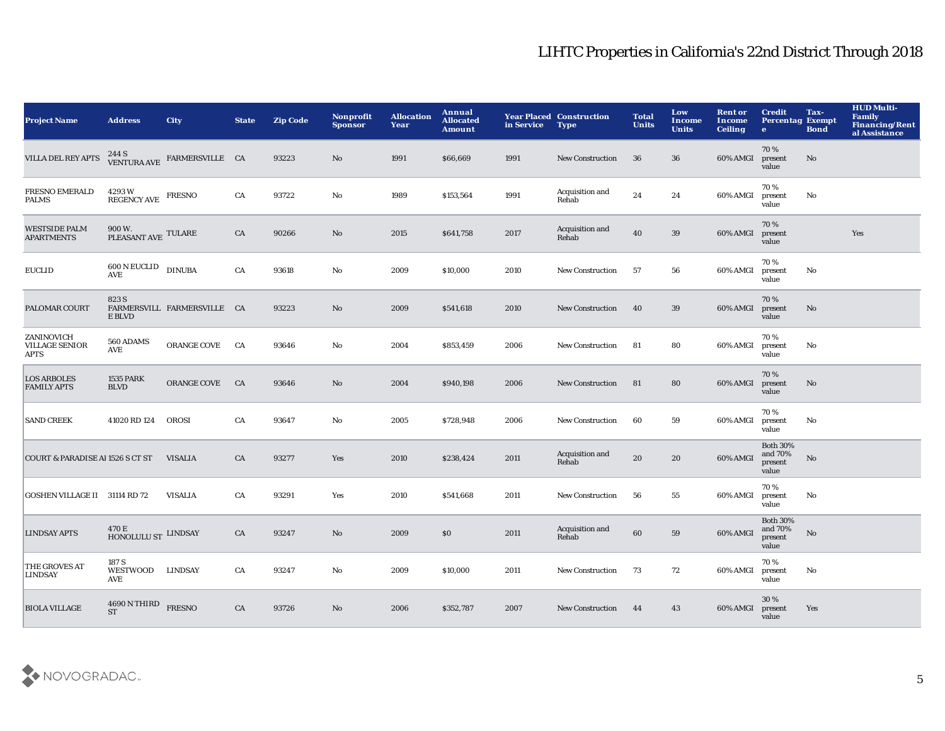| <b>Project Name</b>                                | <b>Address</b>                          | <b>City</b>                                         | <b>State</b> | <b>Zip Code</b> | <b>Nonprofit</b><br><b>Sponsor</b> | <b>Allocation</b><br>Year | Annual<br><b>Allocated</b><br><b>Amount</b> | in Service | <b>Year Placed Construction</b><br><b>Type</b> | <b>Total</b><br><b>Units</b> | Low<br>Income<br><b>Units</b> | <b>Rent or</b><br>Income<br><b>Ceiling</b> | <b>Credit</b><br><b>Percentag Exempt</b><br>$\bullet$ | Tax-<br><b>Bond</b>    | <b>HUD Multi-</b><br>Family<br><b>Financing/Rent</b><br>al Assistance |
|----------------------------------------------------|-----------------------------------------|-----------------------------------------------------|--------------|-----------------|------------------------------------|---------------------------|---------------------------------------------|------------|------------------------------------------------|------------------------------|-------------------------------|--------------------------------------------|-------------------------------------------------------|------------------------|-----------------------------------------------------------------------|
| <b>VILLA DEL REY APTS</b>                          |                                         | $244$ S $$\tt VENTURA\,AVE$ $\tt FARMERSVILLE\_CA$$ |              | 93223           | No                                 | 1991                      | \$66,669                                    | 1991       | <b>New Construction</b>                        | 36                           | 36                            | 60% AMGI                                   | 70%<br>present<br>value                               | No                     |                                                                       |
| <b>FRESNO EMERALD</b><br><b>PALMS</b>              | 4293W<br>REGENCY AVE FRESNO             |                                                     | ${\rm CA}$   | 93722           | $\mathbf{N}\mathbf{o}$             | 1989                      | \$153,564                                   | 1991       | Acquisition and<br>Rehab                       | 24                           | 24                            | 60% AMGI                                   | 70%<br>present<br>value                               | $\mathbf{N}\mathbf{o}$ |                                                                       |
| <b>WESTSIDE PALM</b><br><b>APARTMENTS</b>          | $900\,\rm{W}.$ PLEASANT AVE $\,$ TULARE |                                                     | CA           | 90266           | No                                 | 2015                      | \$641,758                                   | 2017       | Acquisition and<br>Rehab                       | 40                           | 39                            | 60% AMGI                                   | 70%<br>present<br>value                               |                        | Yes                                                                   |
| <b>EUCLID</b>                                      | $600$ N EUCLID $_{\rm DINUBA}$<br>AVE   |                                                     | ${\rm CA}$   | 93618           | $\mathbf{N}\mathbf{o}$             | 2009                      | \$10,000                                    | 2010       | <b>New Construction</b>                        | 57                           | 56                            | 60% AMGI                                   | 70%<br>present<br>value                               | No                     |                                                                       |
| PALOMAR COURT                                      | 823 S<br>E BLVD                         | FARMERSVILL FARMERSVILLE CA                         |              | 93223           | No                                 | 2009                      | \$541,618                                   | 2010       | <b>New Construction</b>                        | 40                           | 39                            | 60% AMGI                                   | 70%<br>present<br>value                               | No                     |                                                                       |
| ZANINOVICH<br><b>VILLAGE SENIOR</b><br><b>APTS</b> | 560 ADAMS<br>AVE                        | ORANGE COVE                                         | CA           | 93646           | No                                 | 2004                      | \$853,459                                   | 2006       | <b>New Construction</b>                        | 81                           | 80                            | 60% AMGI                                   | 70%<br>present<br>value                               | No                     |                                                                       |
| <b>LOS ARBOLES</b><br><b>FAMILY APTS</b>           | <b>1535 PARK</b><br><b>BLVD</b>         | ORANGE COVE                                         | CA           | 93646           | No                                 | 2004                      | \$940,198                                   | 2006       | <b>New Construction</b>                        | 81                           | 80                            | 60% AMGI                                   | 70%<br>present<br>value                               | No                     |                                                                       |
| <b>SAND CREEK</b>                                  | 41020 RD 124                            | OROSI                                               | CA           | 93647           | No                                 | 2005                      | \$728,948                                   | 2006       | <b>New Construction</b>                        | 60                           | 59                            | 60% AMGI                                   | 70%<br>present<br>value                               | No                     |                                                                       |
| <b>COURT &amp; PARADISE AI 1526 S CT ST</b>        |                                         | <b>VISALIA</b>                                      | CA           | 93277           | Yes                                | 2010                      | \$238,424                                   | 2011       | Acquisition and<br>Rehab                       | 20                           | 20                            | 60% AMGI                                   | <b>Both 30%</b><br>and 70%<br>present<br>value        | No                     |                                                                       |
| GOSHEN VILLAGE II 31114 RD 72                      |                                         | <b>VISALIA</b>                                      | CA           | 93291           | Yes                                | 2010                      | \$541,668                                   | 2011       | <b>New Construction</b>                        | 56                           | 55                            | 60% AMGI                                   | 70%<br>present<br>value                               | No                     |                                                                       |
| <b>LINDSAY APTS</b>                                | 470 E<br>HONOLULU ST LINDSAY            |                                                     | CA           | 93247           | $\mathbf{N}\mathbf{o}$             | 2009                      | \$0                                         | 2011       | Acquisition and<br>Rehab                       | 60                           | 59                            | 60% AMGI                                   | <b>Both 30%</b><br>and 70%<br>present<br>value        | $\mathbf{N}\mathbf{o}$ |                                                                       |
| THE GROVES AT<br><b>LINDSAY</b>                    | 187 S<br>WESTWOOD LINDSAY<br><b>AVE</b> |                                                     | CA           | 93247           | $\mathbf{N}\mathbf{o}$             | 2009                      | \$10,000                                    | 2011       | <b>New Construction</b>                        | 73                           | 72                            | 60% AMGI                                   | 70%<br>present<br>value                               | No                     |                                                                       |
| <b>BIOLA VILLAGE</b>                               | 4690 N THIRD<br><b>ST</b>               | <b>FRESNO</b>                                       | CA           | 93726           | No                                 | 2006                      | \$352,787                                   | 2007       | <b>New Construction</b>                        | 44                           | 43                            | 60% AMGI                                   | 30%<br>present<br>value                               | Yes                    |                                                                       |

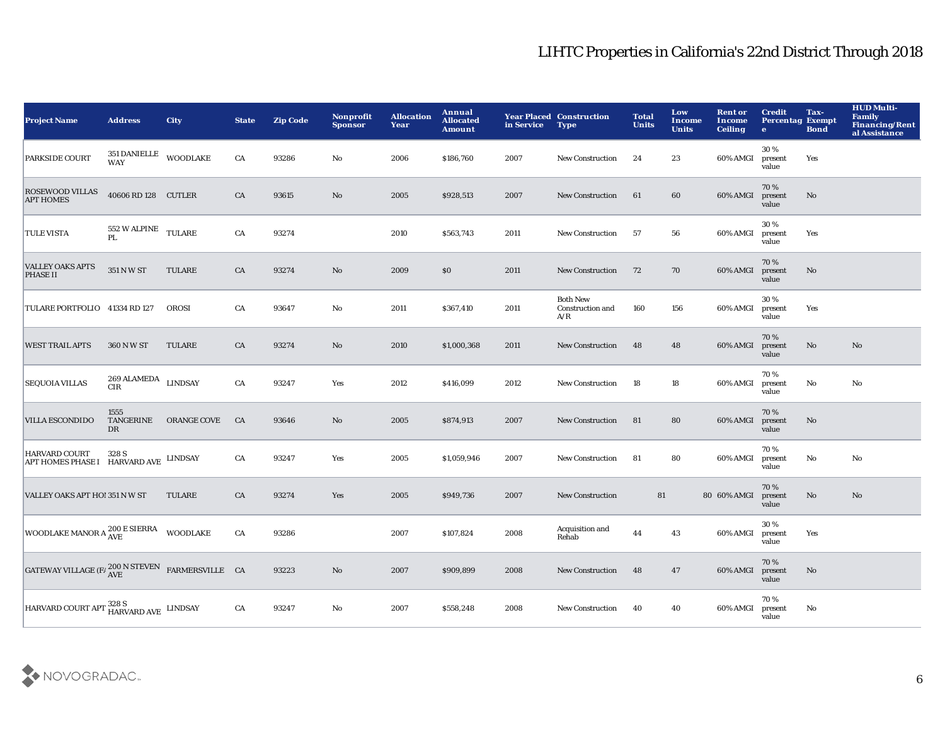| <b>Project Name</b>                                                               | <b>Address</b>                           | <b>City</b>     | <b>State</b> | <b>Zip Code</b> | <b>Nonprofit</b><br><b>Sponsor</b> | <b>Allocation</b><br>Year | Annual<br><b>Allocated</b><br><b>Amount</b> | in Service | <b>Year Placed Construction</b><br><b>Type</b> | <b>Total</b><br><b>Units</b> | Low<br>Income<br><b>Units</b> | <b>Rent or</b><br>Income<br><b>Ceiling</b> | <b>Credit</b><br><b>Percentag Exempt</b><br>$\bullet$ | Tax-<br><b>Bond</b>    | <b>HUD Multi-</b><br><b>Family</b><br><b>Financing/Rent</b><br>al Assistance |
|-----------------------------------------------------------------------------------|------------------------------------------|-----------------|--------------|-----------------|------------------------------------|---------------------------|---------------------------------------------|------------|------------------------------------------------|------------------------------|-------------------------------|--------------------------------------------|-------------------------------------------------------|------------------------|------------------------------------------------------------------------------|
| PARKSIDE COURT                                                                    | 351 DANIELLE<br>WAY                      | <b>WOODLAKE</b> | CA           | 93286           | No                                 | 2006                      | \$186,760                                   | 2007       | <b>New Construction</b>                        | 24                           | 23                            | 60% AMGI                                   | 30%<br>present<br>value                               | Yes                    |                                                                              |
| <b>ROSEWOOD VILLAS</b><br><b>APT HOMES</b>                                        | 40606 RD 128 CUTLER                      |                 | ${\rm CA}$   | 93615           | $\mathbf{N}\mathbf{o}$             | 2005                      | \$928,513                                   | 2007       | <b>New Construction</b>                        | 61                           | 60                            | 60% AMGI                                   | 70%<br>present<br>value                               | $\mathbf{N}\mathbf{o}$ |                                                                              |
| <b>TULE VISTA</b>                                                                 | 552 W ALPINE<br>PL                       | <b>TULARE</b>   | CA           | 93274           |                                    | 2010                      | \$563,743                                   | 2011       | <b>New Construction</b>                        | 57                           | 56                            | 60% AMGI                                   | 30%<br>present<br>value                               | Yes                    |                                                                              |
| <b>VALLEY OAKS APTS</b><br>PHASE II                                               | 351 N W ST                               | <b>TULARE</b>   | ${\rm CA}$   | 93274           | No                                 | 2009                      | \$0                                         | 2011       | <b>New Construction</b>                        | 72                           | 70                            | 60% AMGI                                   | 70%<br>present<br>value                               | $\mathbf{N}\mathbf{o}$ |                                                                              |
| TULARE PORTFOLIO 41334 RD 127                                                     |                                          | OROSI           | CA           | 93647           | $\mathbf{No}$                      | 2011                      | \$367,410                                   | 2011       | <b>Both New</b><br>Construction and<br>A/R     | 160                          | 156                           | 60% AMGI                                   | 30%<br>present<br>value                               | Yes                    |                                                                              |
| <b>WEST TRAIL APTS</b>                                                            | 360 N W ST                               | <b>TULARE</b>   | CA           | 93274           | No                                 | 2010                      | \$1,000,368                                 | 2011       | <b>New Construction</b>                        | 48                           | 48                            | 60% AMGI                                   | 70%<br>present<br>value                               | No                     | No                                                                           |
| <b>SEQUOIA VILLAS</b>                                                             | $269$ ALAMEDA $\,$ LINDSAY<br><b>CIR</b> |                 | CA           | 93247           | Yes                                | 2012                      | \$416,099                                   | 2012       | <b>New Construction</b>                        | 18                           | ${\bf 18}$                    | 60% AMGI                                   | 70%<br>present<br>value                               | No                     | No                                                                           |
| <b>VILLA ESCONDIDO</b>                                                            | 1555<br>TANGERINE<br><b>DR</b>           | ORANGE COVE     | CA           | 93646           | No                                 | 2005                      | \$874,913                                   | 2007       | <b>New Construction</b>                        | 81                           | 80                            | 60% AMGI                                   | 70%<br>present<br>value                               | No                     |                                                                              |
| <b>HARVARD COURT</b><br>APT HOMES PHASE I HARVARD AVE LINDSAY                     | 328 S                                    |                 | ${\rm CA}$   | 93247           | Yes                                | 2005                      | \$1,059,946                                 | 2007       | <b>New Construction</b>                        | 81                           | 80                            | 60% AMGI                                   | 70%<br>present<br>value                               | $\rm No$               | $\mathbf{N}\mathbf{o}$                                                       |
| VALLEY OAKS APT HO! 351 N W ST                                                    |                                          | <b>TULARE</b>   | CA           | 93274           | Yes                                | 2005                      | \$949,736                                   | 2007       | <b>New Construction</b>                        | 81                           |                               | 80 60% AMGI                                | 70%<br>present<br>value                               | No                     | No                                                                           |
| WOODLAKE MANOR A <sup>200</sup> E SIERRA WOODLAKE                                 |                                          |                 | ${\rm CA}$   | 93286           |                                    | 2007                      | \$107,824                                   | 2008       | Acquisition and<br>Rehab                       | 44                           | 43                            | 60% AMGI                                   | 30%<br>present<br>value                               | Yes                    |                                                                              |
| GATEWAY VILLAGE (F/ $_{\mbox{AVE}}^{200\mbox{ N} \mbox{ STEVEN}}$ FARMERSVILLE CA |                                          |                 |              | 93223           | $\mathbf{N}\mathbf{o}$             | 2007                      | \$909,899                                   | 2008       | <b>New Construction</b>                        | 48                           | 47                            | 60% AMGI                                   | 70%<br>present<br>value                               | $\mathbf{N}\mathbf{o}$ |                                                                              |
| HARVARD COURT APT HARVARD AVE LINDSAY                                             |                                          |                 | CA           | 93247           | No                                 | 2007                      | \$558,248                                   | 2008       | <b>New Construction</b>                        | 40                           | 40                            | 60% AMGI                                   | 70%<br>present<br>value                               | No                     |                                                                              |

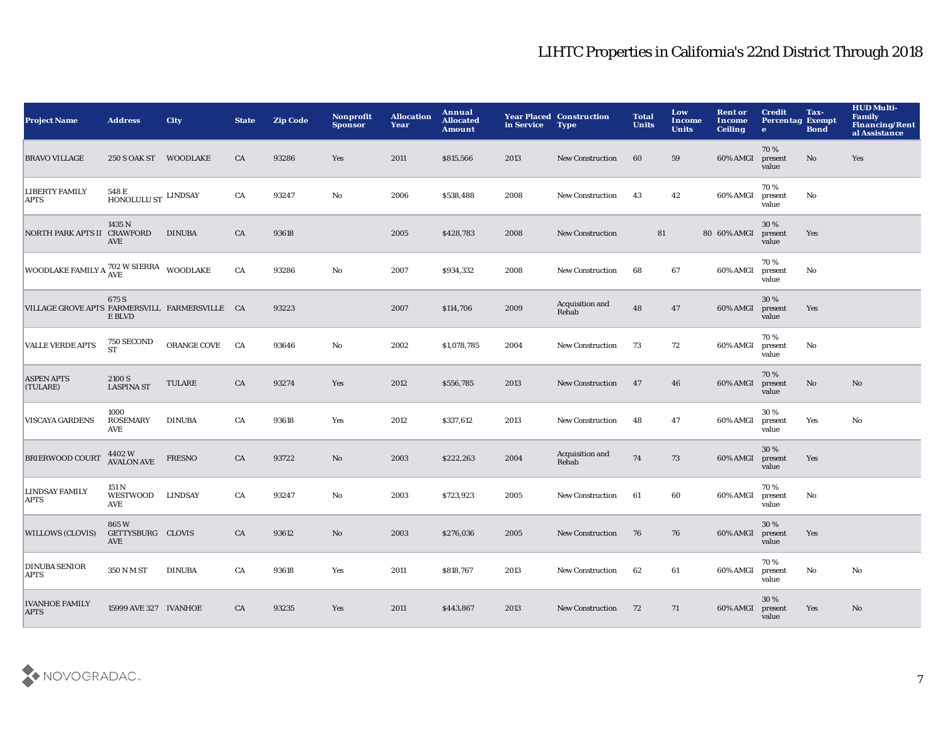| <b>Project Name</b>                            | <b>Address</b>                                       | <b>City</b>    | <b>State</b> | <b>Zip Code</b> | Nonprofit<br><b>Sponsor</b> | <b>Allocation</b><br>Year | Annual<br><b>Allocated</b><br><b>Amount</b> | in Service | <b>Year Placed Construction</b><br><b>Type</b> | <b>Total</b><br><b>Units</b> | Low<br><b>Income</b><br><b>Units</b> | <b>Rent or</b><br>Income<br><b>Ceiling</b> | <b>Credit</b><br><b>Percentag Exempt</b><br>$\bullet$ | Tax-<br><b>Bond</b>    | <b>HUD Multi-</b><br><b>Family</b><br><b>Financing/Rent</b><br>al Assistance |
|------------------------------------------------|------------------------------------------------------|----------------|--------------|-----------------|-----------------------------|---------------------------|---------------------------------------------|------------|------------------------------------------------|------------------------------|--------------------------------------|--------------------------------------------|-------------------------------------------------------|------------------------|------------------------------------------------------------------------------|
| <b>BRAVO VILLAGE</b>                           | 250 S OAK ST WOODLAKE                                |                | CA           | 93286           | Yes                         | 2011                      | \$815,566                                   | 2013       | <b>New Construction</b>                        | 60                           | 59                                   | 60% AMGI                                   | 70%<br>present<br>value                               | No                     | Yes                                                                          |
| <b>LIBERTY FAMILY</b><br><b>APTS</b>           | 548 E<br>$\widehat{\mbox{HONOLULU}}$ ST $\,$ LINDSAY |                | CA           | 93247           | No                          | 2006                      | \$538,488                                   | 2008       | <b>New Construction</b>                        | 43                           | 42                                   | 60% AMGI                                   | 70%<br>present<br>value                               | No                     |                                                                              |
| NORTH PARK APTS II CRAWFORD                    | 1435 N<br><b>AVE</b>                                 | <b>DINUBA</b>  | CA           | 93618           |                             | 2005                      | \$428,783                                   | 2008       | <b>New Construction</b>                        | 81                           |                                      | 80 60% AMGI                                | 30 %<br>present<br>value                              | Yes                    |                                                                              |
| WOODLAKE FAMILY A 702 W SIERRA WOODLAKE        |                                                      |                | CA           | 93286           | $\mathbf{No}$               | 2007                      | \$934,332                                   | 2008       | <b>New Construction</b>                        | 68                           | 67                                   | 60% AMGI                                   | 70%<br>present<br>value                               | No                     |                                                                              |
| VILLAGE GROVE APTS FARMERSVILL FARMERSVILLE CA | 675 S<br>E BLVD                                      |                |              | 93223           |                             | 2007                      | \$114,706                                   | 2009       | Acquisition and<br>Rehab                       | 48                           | 47                                   | 60% AMGI                                   | 30%<br>present<br>value                               | Yes                    |                                                                              |
| <b>VALLE VERDE APTS</b>                        | 750 SECOND<br><b>ST</b>                              | ORANGE COVE    | CA           | 93646           | $\mathbf {No}$              | 2002                      | \$1,078,785                                 | 2004       | <b>New Construction</b>                        | 73                           | 72                                   | 60% AMGI                                   | 70%<br>present<br>value                               | $\mathbf{N}\mathbf{o}$ |                                                                              |
| <b>ASPEN APTS</b><br>(TULARE)                  | 2100 S<br><b>LASPINA ST</b>                          | TULARE         | CA           | 93274           | Yes                         | 2012                      | \$556,785                                   | 2013       | New Construction                               | 47                           | 46                                   | 60% AMGI                                   | 70%<br>present<br>value                               | No                     | No                                                                           |
| <b>VISCAYA GARDENS</b>                         | 1000<br><b>ROSEMARY</b><br><b>AVE</b>                | <b>DINUBA</b>  | CA           | 93618           | Yes                         | 2012                      | \$337,612                                   | 2013       | <b>New Construction</b>                        | 48                           | 47                                   | 60% AMGI                                   | 30%<br>present<br>value                               | Yes                    | No                                                                           |
| <b>BRIERWOOD COURT</b>                         | 4402 W<br>AVALON AVE                                 | <b>FRESNO</b>  | CA           | 93722           | No                          | 2003                      | \$222,263                                   | 2004       | Acquisition and<br>Rehab                       | 74                           | 73                                   | 60% AMGI                                   | 30%<br>present<br>value                               | Yes                    |                                                                              |
| <b>LINDSAY FAMILY</b><br>APTS                  | 151 N<br>WESTWOOD<br><b>AVE</b>                      | <b>LINDSAY</b> | CA           | 93247           | No                          | 2003                      | \$723,923                                   | 2005       | New Construction                               | 61                           | 60                                   | 60% AMGI                                   | 70%<br>present<br>value                               | No                     |                                                                              |
| <b>WILLOWS (CLOVIS)</b>                        | 865W<br>GETTYSBURG CLOVIS<br><b>AVE</b>              |                | CA           | 93612           | No                          | 2003                      | \$276,036                                   | 2005       | <b>New Construction</b>                        | 76                           | 76                                   | 60% AMGI                                   | 30%<br>present<br>value                               | Yes                    |                                                                              |
| <b>DINUBA SENIOR</b><br><b>APTS</b>            | 350 N M ST                                           | <b>DINUBA</b>  | CA           | 93618           | Yes                         | 2011                      | \$818,767                                   | 2013       | <b>New Construction</b>                        | 62                           | 61                                   | 60% AMGI                                   | 70%<br>present<br>value                               | No                     | No                                                                           |
| <b>IVANHOE FAMILY</b><br><b>APTS</b>           | 15999 AVE 327 IVANHOE                                |                | CA           | 93235           | Yes                         | 2011                      | \$443,867                                   | 2013       | <b>New Construction</b>                        | 72                           | 71                                   | 60% AMGI                                   | 30%<br>present<br>value                               | <b>Yes</b>             | No                                                                           |

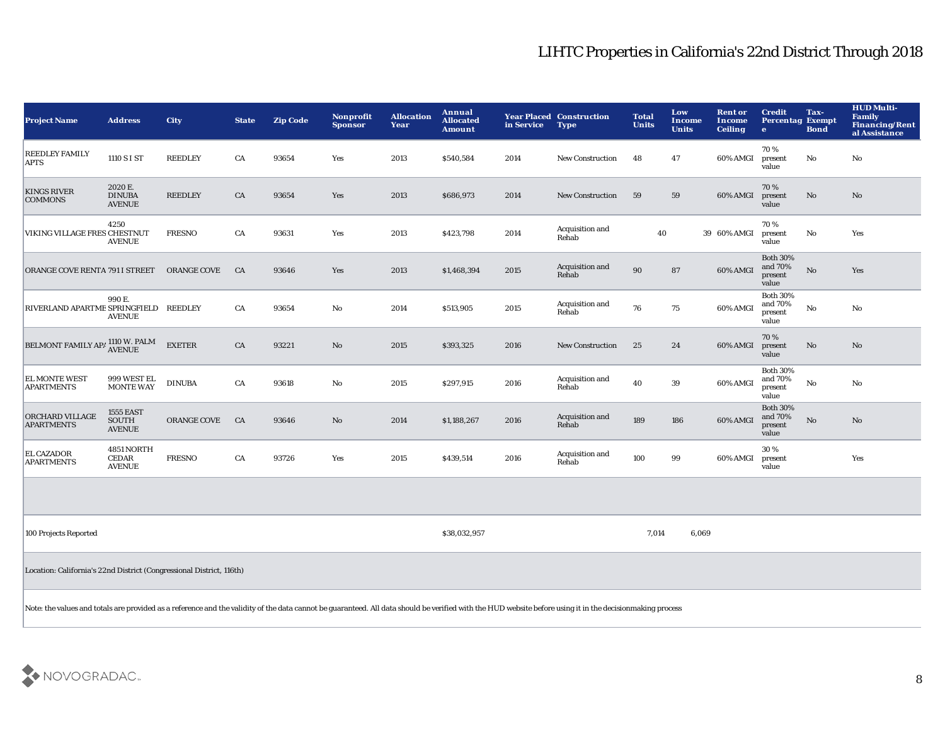| <b>Project Name</b>                                                                                                                                                                                       | <b>Address</b>                                                       | City               | <b>State</b> | <b>Zip Code</b> | <b>Nonprofit</b><br><b>Sponsor</b> | <b>Allocation</b><br>Year | Annual<br><b>Allocated</b><br><b>Amount</b> | in Service | <b>Year Placed Construction</b><br><b>Type</b> | <b>Total</b><br><b>Units</b> | Low<br><b>Income</b><br><b>Units</b> | <b>Rent or</b><br><b>Income</b><br><b>Ceiling</b> | <b>Credit</b><br><b>Percentag Exempt</b><br>$\bullet$ | Tax-<br><b>Bond</b> | <b>HUD Multi-</b><br><b>Family</b><br><b>Financing/Rent</b><br>al Assistance |
|-----------------------------------------------------------------------------------------------------------------------------------------------------------------------------------------------------------|----------------------------------------------------------------------|--------------------|--------------|-----------------|------------------------------------|---------------------------|---------------------------------------------|------------|------------------------------------------------|------------------------------|--------------------------------------|---------------------------------------------------|-------------------------------------------------------|---------------------|------------------------------------------------------------------------------|
| <b>REEDLEY FAMILY</b><br><b>APTS</b>                                                                                                                                                                      | 1110 S I ST                                                          | <b>REEDLEY</b>     | CA           | 93654           | Yes                                | 2013                      | \$540,584                                   | 2014       | New Construction                               | 48                           | 47                                   | 60% AMGI                                          | 70%<br>present<br>value                               | No                  | No                                                                           |
| <b>KINGS RIVER</b><br><b>COMMONS</b>                                                                                                                                                                      | 2020 E.<br><b>DINUBA</b><br><b>AVENUE</b>                            | <b>REEDLEY</b>     | ${\rm CA}$   | 93654           | Yes                                | 2013                      | \$686,973                                   | 2014       | <b>New Construction</b>                        | 59                           | 59                                   | 60% AMGI                                          | 70%<br>present<br>value                               | No                  | No                                                                           |
| VIKING VILLAGE FRES CHESTNUT                                                                                                                                                                              | 4250<br><b>AVENUE</b>                                                | <b>FRESNO</b>      | CA           | 93631           | Yes                                | 2013                      | \$423,798                                   | 2014       | Acquisition and<br>Rehab                       | 40                           |                                      | 39 60% AMGI                                       | 70%<br>present<br>value                               | No                  | Yes                                                                          |
| ORANGE COVE RENTA 791 I STREET                                                                                                                                                                            |                                                                      | <b>ORANGE COVE</b> | CA           | 93646           | Yes                                | 2013                      | \$1,468,394                                 | 2015       | Acquisition and<br>Rehab                       | 90                           | 87                                   | 60% AMGI                                          | <b>Both 30%</b><br>and 70%<br>present<br>value        | No                  | Yes                                                                          |
| RIVERLAND APARTME SPRINGFIELD REEDLEY                                                                                                                                                                     | 990 E.<br><b>AVENUE</b>                                              |                    | CA           | 93654           | No                                 | 2014                      | \$513,905                                   | 2015       | Acquisition and<br>Rehab                       | 76                           | 75                                   | 60% AMGI                                          | <b>Both 30%</b><br>and 70%<br>present<br>value        | No                  | No                                                                           |
| BELMONT FAMILY APA 1110 W. PALM                                                                                                                                                                           |                                                                      | <b>EXETER</b>      | CA           | 93221           | No                                 | 2015                      | \$393,325                                   | 2016       | <b>New Construction</b>                        | 25                           | 24                                   | 60% AMGI                                          | 70%<br>present<br>value                               | No                  | $\mathbf{N}\mathbf{o}$                                                       |
| EL MONTE WEST<br><b>APARTMENTS</b>                                                                                                                                                                        | 999 WEST EL<br><b>MONTE WAY</b>                                      | <b>DINUBA</b>      | CA           | 93618           | No                                 | 2015                      | \$297,915                                   | 2016       | Acquisition and<br>Rehab                       | 40                           | 39                                   | 60% AMGI                                          | <b>Both 30%</b><br>and 70%<br>present<br>value        | No                  | No                                                                           |
| ORCHARD VILLAGE<br><b>APARTMENTS</b>                                                                                                                                                                      | <b>1555 EAST</b><br>SOUTH<br><b>AVENUE</b>                           | ORANGE COVE        | CA           | 93646           | No                                 | 2014                      | \$1,188,267                                 | 2016       | Acquisition and<br>Rehab                       | 189                          | 186                                  | 60% AMGI                                          | <b>Both 30%</b><br>and 70%<br>present<br>value        | No                  | $\mathbf{N}\mathbf{o}$                                                       |
| <b>EL CAZADOR</b><br><b>APARTMENTS</b>                                                                                                                                                                    | 4851 NORTH<br><b>CEDAR</b><br><b>AVENUE</b>                          | <b>FRESNO</b>      | CA           | 93726           | Yes                                | 2015                      | \$439,514                                   | 2016       | Acquisition and<br>Rehab                       | 100                          | 99                                   | 60% AMGI                                          | 30%<br>present<br>value                               |                     | Yes                                                                          |
|                                                                                                                                                                                                           |                                                                      |                    |              |                 |                                    |                           |                                             |            |                                                |                              |                                      |                                                   |                                                       |                     |                                                                              |
| 100 Projects Reported                                                                                                                                                                                     |                                                                      |                    |              |                 |                                    |                           | \$38,032,957                                |            |                                                | 7,014                        | 6,069                                |                                                   |                                                       |                     |                                                                              |
|                                                                                                                                                                                                           | Location: California's 22nd District (Congressional District, 116th) |                    |              |                 |                                    |                           |                                             |            |                                                |                              |                                      |                                                   |                                                       |                     |                                                                              |
| Note: the values and totals are provided as a reference and the validity of the data cannot be guaranteed. All data should be verified with the HUD website before using it in the decisionmaking process |                                                                      |                    |              |                 |                                    |                           |                                             |            |                                                |                              |                                      |                                                   |                                                       |                     |                                                                              |